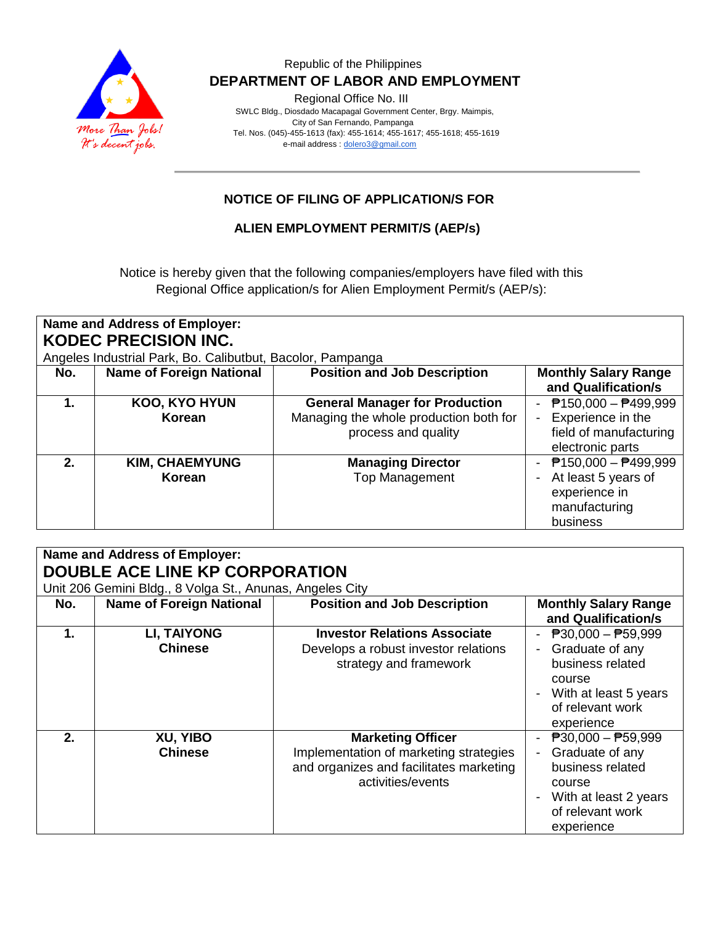

#### Republic of the Philippines  **DEPARTMENT OF LABOR AND EMPLOYMENT**

Regional Office No. III

 SWLC Bldg., Diosdado Macapagal Government Center, Brgy. Maimpis, City of San Fernando, Pampanga Tel. Nos. (045)-455-1613 (fax): 455-1614; 455-1617; 455-1618; 455-1619 e-mail address [: dolero3@gmail.com](mailto:dolero3@gmail.com)

# **NOTICE OF FILING OF APPLICATION/S FOR**

**ALIEN EMPLOYMENT PERMIT/S (AEP/s)**

Notice is hereby given that the following companies/employers have filed with this Regional Office application/s for Alien Employment Permit/s (AEP/s):

| <b>Name and Address of Employer:</b><br><b>KODEC PRECISION INC.</b> |                                 |                                                                                                        |                                                                                                |  |  |  |
|---------------------------------------------------------------------|---------------------------------|--------------------------------------------------------------------------------------------------------|------------------------------------------------------------------------------------------------|--|--|--|
| Angeles Industrial Park, Bo. Calibutbut, Bacolor, Pampanga          |                                 |                                                                                                        |                                                                                                |  |  |  |
| No.                                                                 | <b>Name of Foreign National</b> | <b>Position and Job Description</b>                                                                    | <b>Monthly Salary Range</b><br>and Qualification/s                                             |  |  |  |
| 1.                                                                  | KOO, KYO HYUN<br>Korean         | <b>General Manager for Production</b><br>Managing the whole production both for<br>process and quality | - $P150,000 - P499,999$<br>Experience in the<br>field of manufacturing<br>electronic parts     |  |  |  |
| $2-$                                                                | <b>KIM, CHAEMYUNG</b><br>Korean | <b>Managing Director</b><br><b>Top Management</b>                                                      | $P$ 150,000 - $P$ 499,999<br>At least 5 years of<br>experience in<br>manufacturing<br>business |  |  |  |

| <b>Name and Address of Employer:</b>                     |                                 |                                         |                                           |  |  |  |  |
|----------------------------------------------------------|---------------------------------|-----------------------------------------|-------------------------------------------|--|--|--|--|
| <b>DOUBLE ACE LINE KP CORPORATION</b>                    |                                 |                                         |                                           |  |  |  |  |
| Unit 206 Gemini Bldg., 8 Volga St., Anunas, Angeles City |                                 |                                         |                                           |  |  |  |  |
| No.                                                      | <b>Name of Foreign National</b> | <b>Position and Job Description</b>     | <b>Monthly Salary Range</b>               |  |  |  |  |
|                                                          |                                 |                                         | and Qualification/s                       |  |  |  |  |
| 1.                                                       | <b>LI, TAIYONG</b>              | <b>Investor Relations Associate</b>     | - $P30,000 - P59,999$                     |  |  |  |  |
|                                                          | <b>Chinese</b>                  | Develops a robust investor relations    | Graduate of any                           |  |  |  |  |
|                                                          |                                 | strategy and framework                  | business related                          |  |  |  |  |
|                                                          |                                 |                                         | course                                    |  |  |  |  |
|                                                          |                                 |                                         | With at least 5 years                     |  |  |  |  |
|                                                          |                                 |                                         | of relevant work                          |  |  |  |  |
|                                                          |                                 |                                         | experience                                |  |  |  |  |
| 2.                                                       | XU, YIBO                        | <b>Marketing Officer</b>                | $\overline{P}30,000 - \overline{P}59,999$ |  |  |  |  |
|                                                          | <b>Chinese</b>                  | Implementation of marketing strategies  | Graduate of any                           |  |  |  |  |
|                                                          |                                 | and organizes and facilitates marketing | business related                          |  |  |  |  |
|                                                          |                                 | activities/events                       | course                                    |  |  |  |  |
|                                                          |                                 |                                         | With at least 2 years                     |  |  |  |  |
|                                                          |                                 |                                         | of relevant work                          |  |  |  |  |
|                                                          |                                 |                                         | experience                                |  |  |  |  |